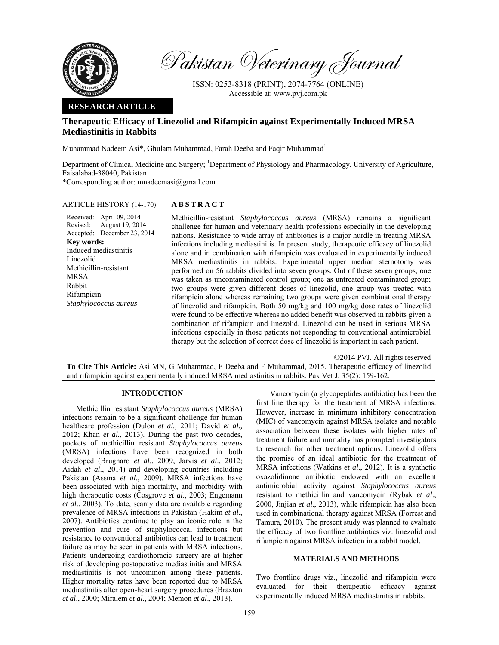

Pakistan Veterinary Journal

ISSN: 0253-8318 (PRINT), 2074-7764 (ONLINE) Accessible at: www.pvj.com.pk

# **RESEARCH ARTICLE**

# **Therapeutic Efficacy of Linezolid and Rifampicin against Experimentally Induced MRSA Mediastinitis in Rabbits**

Muhammad Nadeem Asi<sup>\*</sup>, Ghulam Muhammad, Farah Deeba and Faqir Muhammad<sup>1</sup>

Department of Clinical Medicine and Surgery; <sup>1</sup>Department of Physiology and Pharmacology, University of Agriculture, Faisalabad-38040, Pakistan

\*Corresponding author: mnadeemasi@gmail.com

## ARTICLE HISTORY (14-170) **ABSTRACT**

#### Received: April 09, 2014 Revised: Accepted: December 23, 2014 August 19, 2014 **Key words:**  Induced mediastinitis Linezolid Methicillin-resistant MRSA Rabbit Rifampicin *Staphylococcus aureus*

 Methicillin-resistant *Staphylococcus aureus* (MRSA) remains a significant challenge for human and veterinary health professions especially in the developing nations. Resistance to wide array of antibiotics is a major hurdle in treating MRSA infections including mediastinitis. In present study, therapeutic efficacy of linezolid alone and in combination with rifampicin was evaluated in experimentally induced MRSA mediastinitis in rabbits. Experimental upper median sternotomy was performed on 56 rabbits divided into seven groups. Out of these seven groups, one was taken as uncontaminated control group; one as untreated contaminated group; two groups were given different doses of linezolid, one group was treated with rifampicin alone whereas remaining two groups were given combinational therapy of linezolid and rifampicin. Both 50 mg/kg and 100 mg/kg dose rates of linezolid were found to be effective whereas no added benefit was observed in rabbits given a combination of rifampicin and linezolid. Linezolid can be used in serious MRSA infections especially in those patients not responding to conventional antimicrobial therapy but the selection of correct dose of linezolid is important in each patient.

©2014 PVJ. All rights reserved

**To Cite This Article:** Asi MN, G Muhammad, F Deeba and F Muhammad, 2015. Therapeutic efficacy of linezolid and rifampicin against experimentally induced MRSA mediastinitis in rabbits. Pak Vet J, 35(2): 159-162.

#### **INTRODUCTION**

Methicillin resistant *Staphylococcus aureus* (MRSA) infections remain to be a significant challenge for human healthcare profession (Dulon *et al.,* 2011; David *et al.,* 2012; Khan *et al.*, 2013). During the past two decades, pockets of methicillin resistant *Staphylococcus aureus*  (MRSA) infections have been recognized in both developed (Brugnaro *et al*., 2009, Jarvis *et al*., 2012; Aidah *et al*., 2014) and developing countries including Pakistan (Assma *et al*., 2009). MRSA infections have been associated with high mortality, and morbidity with high therapeutic costs (Cosgrove *et al*., 2003; Engemann *et al*., 2003). To date, scanty data are available regarding prevalence of MRSA infections in Pakistan (Hakim *et al*., 2007). Antibiotics continue to play an iconic role in the prevention and cure of staphylococcal infections but resistance to conventional antibiotics can lead to treatment failure as may be seen in patients with MRSA infections. Patients undergoing cardiothoracic surgery are at higher risk of developing postoperative mediastinitis and MRSA mediastinitis is not uncommon among these patients. Higher mortality rates have been reported due to MRSA mediastinitis after open-heart surgery procedures (Braxton *et al*., 2000; Miralem *et al.,* 2004; Memon *et al*., 2013).

Vancomycin (a glycopeptides antibiotic) has been the first line therapy for the treatment of MRSA infections. However, increase in minimum inhibitory concentration (MIC) of vancomycin against MRSA isolates and notable association between these isolates with higher rates of treatment failure and mortality has prompted investigators to research for other treatment options. Linezolid offers the promise of an ideal antibiotic for the treatment of MRSA infections (Watkins *et al*., 2012). It is a synthetic oxazolidinone antibiotic endowed with an excellent antimicrobial activity against *Staphylococcus aureus* resistant to methicillin and vancomycin (Rybak *et al*., 2000, Jinjian *et al*., 2013), while rifampicin has also been used in combinational therapy against MRSA (Forrest and Tamura, 2010). The present study was planned to evaluate the efficacy of two frontline antibiotics viz. linezolid and rifampicin against MRSA infection in a rabbit model.

### **MATERIALS AND METHODS**

Two frontline drugs viz., linezolid and rifampicin were evaluated for their therapeutic efficacy against experimentally induced MRSA mediastinitis in rabbits.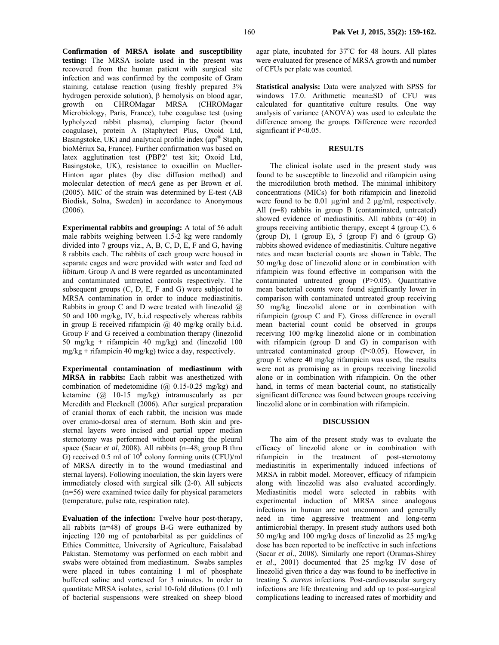**Confirmation of MRSA isolate and susceptibility testing:** The MRSA isolate used in the present was recovered from the human patient with surgical site infection and was confirmed by the composite of Gram staining, catalase reaction (using freshly prepared 3% hydrogen peroxide solution), β hemolysis on blood agar, growth on CHROMagar MRSA (CHROMagar Microbiology, Paris, France), tube coagulase test (using lypholyzed rabbit plasma), clumping factor (bound coagulase), protein A (Staphytect Plus, Oxoid Ltd, Basingstoke, UK) and analytical profile index (api® Staph, bioMériux Sa, France). Further confirmation was based on latex agglutination test (PBP2' test kit; Oxoid Ltd, Basingstoke, UK), resistance to oxacillin on Mueller-Hinton agar plates (by disc diffusion method) and molecular detection of *mecA* gene as per Brown *et al.*  (2005). MIC of the strain was determined by E-test (AB Biodisk, Solna, Sweden) in accordance to Anonymous (2006).

**Experimental rabbits and grouping:** A total of 56 adult male rabbits weighing between 1.5-2 kg were randomly divided into 7 groups viz., A, B, C, D, E, F and G, having 8 rabbits each. The rabbits of each group were housed in separate cages and were provided with water and feed *ad libitum*. Group A and B were regarded as uncontaminated and contaminated untreated controls respectively. The subsequent groups (C, D, E, F and G) were subjected to MRSA contamination in order to induce mediastinitis. Rabbits in group C and D were treated with linezolid  $\omega$ 50 and 100 mg/kg, IV, b.i.d respectively whereas rabbits in group E received rifampicin  $(a)$  40 mg/kg orally b.i.d. Group F and G received a combination therapy (linezolid 50 mg/kg + rifampicin 40 mg/kg) and (linezolid 100 mg/kg + rifampicin 40 mg/kg) twice a day, respectively.

**Experimental contamination of mediastinum with MRSA in rabbits:** Each rabbit was anesthetized with combination of medetomidine  $(Q\ 0.15-0.25 \ mg/kg)$  and ketamine (@ 10-15 mg/kg) intramuscularly as per Meredith and Flecknell (2006). After surgical preparation of cranial thorax of each rabbit, the incision was made over cranio-dorsal area of sternum. Both skin and presternal layers were incised and partial upper median sternotomy was performed without opening the pleural space (Sacar *et al*, 2008). All rabbits (n=48; group B thru  $\hat{G}$ ) received 0.5 ml of 10<sup>8</sup> colony forming units (CFU)/ml of MRSA directly in to the wound (mediastinal and sternal layers). Following inoculation, the skin layers were immediately closed with surgical silk (2-0). All subjects (n=56) were examined twice daily for physical parameters (temperature, pulse rate, respiration rate).

**Evaluation of the infection:** Twelve hour post-therapy, all rabbits (n=48) of groups B-G were euthanized by injecting 120 mg of pentobarbital as per guidelines of Ethics Committee, University of Agriculture, Faisalabad Pakistan. Sternotomy was performed on each rabbit and swabs were obtained from mediastinum. Swabs samples were placed in tubes containing 1 ml of phosphate buffered saline and vortexed for 3 minutes. In order to quantitate MRSA isolates, serial 10-fold dilutions (0.1 ml) of bacterial suspensions were streaked on sheep blood

agar plate, incubated for 37°C for 48 hours. All plates were evaluated for presence of MRSA growth and number of CFUs per plate was counted.

**Statistical analysis:** Data were analyzed with SPSS for windows 17.0. Arithmetic mean±SD of CFU was calculated for quantitative culture results. One way analysis of variance (ANOVA) was used to calculate the difference among the groups. Difference were recorded significant if P<0.05.

## **RESULTS**

The clinical isolate used in the present study was found to be susceptible to linezolid and rifampicin using the microdilution broth method. The minimal inhibitory concentrations (MICs) for both rifampicin and linezolid were found to be 0.01 µg/ml and 2 µg/ml, respectively. All (n=8) rabbits in group B (contaminated, untreated) showed evidence of mediastinitis. All rabbits (n=40) in groups receiving antibiotic therapy, except 4 (group C), 6 (group D), 1 (group E), 5 (group F) and 6 (group G) rabbits showed evidence of mediastinitis. Culture negative rates and mean bacterial counts are shown in Table. The 50 mg/kg dose of linezolid alone or in combination with rifampicin was found effective in comparison with the contaminated untreated group (P>0.05). Quantitative mean bacterial counts were found significantly lower in comparison with contaminated untreated group receiving 50 mg/kg linezolid alone or in combination with rifampicin (group C and F). Gross difference in overall mean bacterial count could be observed in groups receiving 100 mg/kg linezolid alone or in combination with rifampicin (group D and G) in comparison with untreated contaminated group  $(P<0.05)$ . However, in group E where 40 mg/kg rifampicin was used, the results were not as promising as in groups receiving linezolid alone or in combination with rifampicin. On the other hand, in terms of mean bacterial count, no statistically significant difference was found between groups receiving linezolid alone or in combination with rifampicin.

#### **DISCUSSION**

 The aim of the present study was to evaluate the efficacy of linezolid alone or in combination with rifampicin in the treatment of post-sternotomy mediastinitis in experimentally induced infections of MRSA in rabbit model. Moreover, efficacy of rifampicin along with linezolid was also evaluated accordingly. Mediastinitis model were selected in rabbits with experimental induction of MRSA since analogous infections in human are not uncommon and generally need in time aggressive treatment and long-term antimicrobial therapy. In present study authors used both 50 mg/kg and 100 mg/kg doses of linezolid as 25 mg/kg dose has been reported to be ineffective in such infections (Sacar *et al*., 2008). Similarly one report (Oramas-Shirey *et al*., 2001) documented that 25 mg/kg IV dose of linezolid given thrice a day was found to be ineffective in treating *S. aureus* infections. Post-cardiovascular surgery infections are life threatening and add up to post-surgical complications leading to increased rates of morbidity and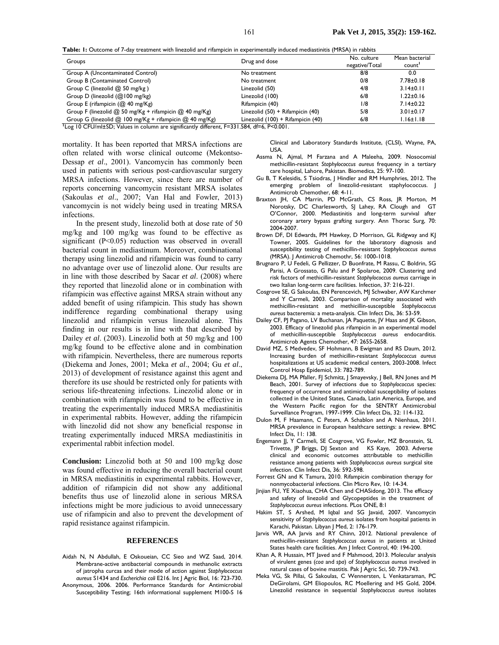**Table: 1:** Outcome of 7-day treatment with linezolid and rifampicin in experimentally induced mediastinitis (MRSA) in rabbits

| Groups                                                                      | Drug and dose                     | No. culture<br>negative/Total | Mean bacterial<br>count' |
|-----------------------------------------------------------------------------|-----------------------------------|-------------------------------|--------------------------|
| Group A (Uncontaminated Control)                                            | No treatment                      | 8/8                           | 0.0                      |
| Group B (Contaminated Control)                                              | No treatment                      | 0/8                           | $7.78 \pm 0.18$          |
| Group C (linezolid @ 50 mg/kg)                                              | Linezolid (50)                    | 4/8                           | $3.14 \pm 0.11$          |
| Group D (linezolid (@100 mg/kg)                                             | Linezolid (100)                   | 6/8                           | $1.22 \pm 0.16$          |
| Group E (rifampicin (@ 40 mg/Kg)                                            | Rifampicin (40)                   | 1/8                           | $7.14 \pm 0.22$          |
| Group F (linezolid $@$ 50 mg/Kg + rifampicin $@$ 40 mg/Kg)                  | Linezolid (50) + Rifampicin (40)  | 5/8                           | $3.01 \pm 0.17$          |
| Group G (linezolid $@$ 100 mg/Kg + rifampicin $@$ 40 mg/Kg)<br>$\mathbf{r}$ | Linezolid (100) + Rifampicin (40) | 6/8                           | $1.16 \pm 1.18$          |

<sup>1</sup>Log 10 CFU/ml±SD; Values in column are significantly different, F=331.584, df=6, P<0.001.

mortality. It has been reported that MRSA infections are often related with worse clinical outcome (Mekontso-Dessap *et al*., 2001). Vancomycin has commonly been used in patients with serious post-cardiovascular surgery MRSA infections. However, since there are number of reports concerning vancomycin resistant MRSA isolates (Sakoulas *et al*., 2007; Van Hal and Fowler, 2013) vancomycin is not widely being used in treating MRSA infections.

In the present study, linezolid both at dose rate of 50 mg/kg and 100 mg/kg was found to be effective as significant (P<0.05) reduction was observed in overall bacterial count in mediastinum. Moreover, combinational therapy using linezolid and rifampicin was found to carry no advantage over use of linezolid alone. Our results are in line with those described by Sacar *et al*. (2008) where they reported that linezolid alone or in combination with rifampicin was effective against MRSA strain without any added benefit of using rifampicin. This study has shown indifference regarding combinational therapy using linezolid and rifampicin versus linezolid alone. This finding in our results is in line with that described by Dailey *et al*. (2003). Linezolid both at 50 mg/kg and 100 mg/kg found to be effective alone and in combination with rifampicin. Nevertheless, there are numerous reports (Diekema and Jones, 2001; Meka *et al*., 2004; Gu *et al*., 2013) of development of resistance against this agent and therefore its use should be restricted only for patients with serious life-threatening infections. Linezolid alone or in combination with rifampicin was found to be effective in treating the experimentally induced MRSA mediastinitis in experimental rabbits. However, adding the rifampicin with linezolid did not show any beneficial response in treating experimentally induced MRSA mediastinitis in experimental rabbit infection model.

**Conclusion:** Linezolid both at 50 and 100 mg/kg dose was found effective in reducing the overall bacterial count in MRSA mediastinitis in experimental rabbits. However, addition of rifampicin did not show any additional benefits thus use of linezolid alone in serious MRSA infections might be more judicious to avoid unnecessary use of rifampicin and also to prevent the development of rapid resistance against rifampicin.

### **REFERENCES**

Aidah N, N Abdullah, E Oskoueian, CC Sieo and WZ Saad, 2014. Membrane-active antibacterial compounds in methanolic extracts of jatropha curcas and their mode of action against *Staphylococcus aureus* S1434 and *Escherichia coli* E216. Int J Agric Biol, 16: 723-730. Anonymous, 2006. 2006. Performance Standards for Antimicrobial Susceptibility Testing; 16th informational supplement M100-S 16 Clinical and Laboratory Standards Institute, (CLSI), Wayne, PA, USA.

- Assma N, Ajmal, M Farzana and A Maleeha, 2009. Nosocomial methicillin-resistant *Staphylococcus aureus* frequency in a tertiary care hospital, Lahore, Pakistan. Biomedica, 25: 97-100.
- Gu B, T Kelesidis, S Tsiodras, J Hindler and RM Humphries, 2012. The emerging problem of linezolid-resistant staphylococcus. J Antimicrob Chemother, 68: 4-11.
- Braxton JH, CA Marrin, PD McGrath, CS Ross, JR Morton, M Norotsky, DC Charlesworth, SJ Lahey, RA Clough and GT O'Connor, 2000. Mediastinitis and long-term survival after coronary artery bypass grafting surgery. Ann Thorac Surg, 70: 2004-2007.
- Brown DF, DI Edwards, PM Hawkey, D Morrison, GL Ridgway and KJ Towner, 2005. Guidelines for the laboratory diagnosis and susceptibility testing of methicillin-resistant *Staphylococcus aureus* (MRSA). J Antimicrob Chemothr, 56: 1000-1018.
- Brugnaro P, U Fedeli, G Pellizzer, D Buonfrate, M Rassu, C Boldrin, SG Parisi, A Grossato, G Palu and P Spolaroe, 2009. Clustering and risk factors of methicillin-resistant *Staphylococcus aureus* carriage in two Italian long-term care facilities. Infection, 37: 216-221.
- Cosgrove SE, G Sakoulas, EN Perencevich, MJ Schwaber, AW Karchmer and Y Carmeli, 2003. Comparison of mortality associated with methicillin-resistant and methicillin-susceptible *Staphylococcus aureus* bacteremia: a meta-analysis. Clin Infect Dis, 36: 53-59.
- Dailey CF, PJ Pagano, LV Buchanan, JA Paquette, JV Haas and JK Gibson, 2003. Efficacy of linezolid plus rifampicin in an experimental model of methicillin-susceptible *Staphylococcus aureus* endocarditis. Antimicrob Agents Chemother, 47: 2655-2658.
- David MZ, S Medvedev, SF Hohmann, B Ewigman and RS Daum, 2012. Increasing burden of methicillin-resistant *Staphylococcus aureus* hospitalizations at US academic medical centers, 2003-2008. Infect Control Hosp Epidemiol, 33: 782-789.
- Diekema DJ, MA Pfaller, FJ Schmitz, J Smayevsky, J Bell, RN Jones and M Beach, 2001. Survey of infections due to *Staphylococcus* species: frequency of occurrence and antimicrobial susceptibility of isolates collected in the United States, Canada, Latin America, Europe, and the Western Pacific region for the SENTRY Antimicrobial Surveillance Program, 1997-1999. Clin Infect Dis, 32: 114-132.
- Dulon M, F Haamann, C Peters, A Schablon and A Nienhaus, 2011. MRSA prevalence in European healthcare settings: a review. BMC Infect Dis, 11: 138.
- Engemann JJ, Y Carmeli, SE Cosgrove, VG Fowler, MZ Bronstein, SL Trivette, JP Briggs, DJ Sexton and KS Kaye, 2003. Adverse clinical and economic outcomes attributable to methicillin resistance among patients with *Staphylococcus aureus* surgical site infection. Clin Infect Dis, 36: 592-598.
- Forrest GN and K Tamura, 2010. Rifampicin combination therapy for nonmycobacterial infections. Clin Micro Rev, 10: 14-34.
- Jinjian FU, YE Xiaohua, CHA Chen and CHASidong, 2013. The efficacy and safety of linezolid and Glycopeptides in the treatment of *Staphylococcus aureus* infections. PLos ONE, 8:1
- Hakim ST, S Arshed, M Iqbal and SG Javaid, 2007. Vancomycin sensitivity of *Staphylococcus aureus* isolates from hospital patients in Karachi, Pakistan. Libyan J Med, 2: 176-179.
- Jarvis WR, AA Jarvis and RY Chinn, 2012. National prevalence of methicillin-resistant *Staphylococcus aureus* in patients at United States health care facilities. Am J Infect Control, 40: 194-200.
- Khan A, R Hussain, MT Javed and F Mahmood, 2013. Molecular analysis of virulent genes (*coa* and *spa*) of *Staphylococcus aureus* involved in natural cases of bovine mastitis. Pak J Agric Sci, 50: 739-743.
- Meka VG, Sk Pillai, G Sakoulas, C Wennersten, L Venkataraman, PC DeGirolami, GM Eliopoulos, RC Moellering and HS Gold, 2004. Linezolid resistance in sequential *Staphylococcus aureus* isolates